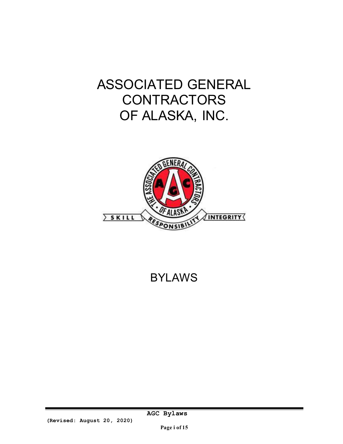# ASSOCIATED GENERAL **CONTRACTORS** OF ALASKA, INC.



BYLAWS

**(Revised: August 20, 2020)**

**AGC Bylaws**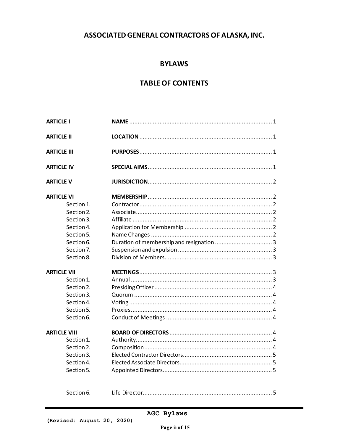### ASSOCIATED GENERAL CONTRACTORS OF ALASKA, INC.

#### **BYLAWS**

#### **TABLE OF CONTENTS**

| <b>ARTICLE I</b>    |  |
|---------------------|--|
| <b>ARTICLE II</b>   |  |
| <b>ARTICLE III</b>  |  |
| <b>ARTICLE IV</b>   |  |
| <b>ARTICLE V</b>    |  |
| <b>ARTICLE VI</b>   |  |
| Section 1.          |  |
| Section 2.          |  |
| Section 3.          |  |
| Section 4.          |  |
| Section 5.          |  |
| Section 6.          |  |
| Section 7.          |  |
| Section 8.          |  |
| <b>ARTICLE VII</b>  |  |
| Section 1.          |  |
| Section 2.          |  |
| Section 3.          |  |
| Section 4.          |  |
| Section 5.          |  |
| Section 6.          |  |
| <b>ARTICLE VIII</b> |  |
| Section 1.          |  |
| Section 2.          |  |
| Section 3.          |  |
| Section 4.          |  |
| Section 5.          |  |
| Section 6.          |  |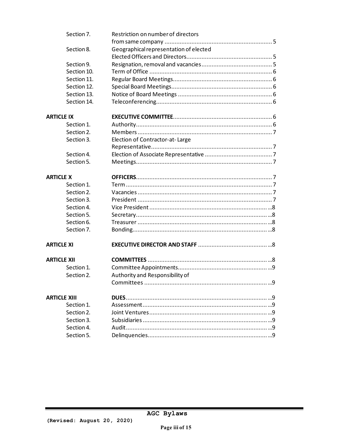| Section 7.          | Restriction on number of directors     |
|---------------------|----------------------------------------|
|                     |                                        |
| Section 8.          | Geographical representation of elected |
|                     |                                        |
| Section 9.          |                                        |
| Section 10.         |                                        |
| Section 11.         |                                        |
| Section 12.         |                                        |
| Section 13.         |                                        |
| Section 14.         |                                        |
| <b>ARTICLE IX</b>   |                                        |
| Section 1.          |                                        |
| Section 2.          |                                        |
| Section 3.          | Election of Contractor-at-Large        |
|                     |                                        |
| Section 4.          |                                        |
| Section 5.          |                                        |
| <b>ARTICLE X</b>    |                                        |
| Section 1.          |                                        |
| Section 2.          |                                        |
| Section 3.          |                                        |
| Section 4.          |                                        |
| Section 5.          |                                        |
| Section 6.          |                                        |
| Section 7.          |                                        |
| <b>ARTICLE XI</b>   |                                        |
| <b>ARTICLE XII</b>  |                                        |
| Section 1.          |                                        |
| Section 2.          | Authority and Responsibility of        |
|                     | 9                                      |
| <b>ARTICLE XIII</b> |                                        |
| Section 1.          |                                        |
| Section 2.          |                                        |
| Section 3.          |                                        |
| Section 4.          |                                        |
| Section 5.          |                                        |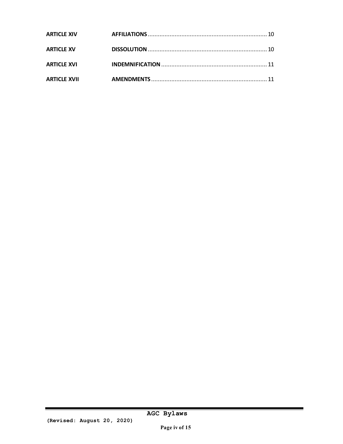| <b>ARTICLE XIV</b>  |  |
|---------------------|--|
| <b>ARTICLE XV</b>   |  |
| <b>ARTICLE XVI</b>  |  |
| <b>ARTICLE XVII</b> |  |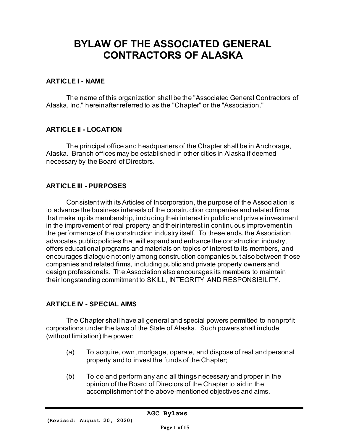## **BYLAW OF THE ASSOCIATED GENERAL CONTRACTORS OF ALASKA**

#### **ARTICLE I - NAME**

The name of this organization shall be the "Associated General Contractors of Alaska, Inc." hereinafter referred to as the "Chapter" or the "Association."

#### **ARTICLE II - LOCATION**

The principal office and headquarters of the Chapter shall be in Anchorage, Alaska. Branch offices may be established in other cities in Alaska if deemed necessary by the Board of Directors.

#### **ARTICLE III - PURPOSES**

Consistent with its Articles of Incorporation, the purpose of the Association is to advance the business interests of the construction companies and related firms that make up its membership, including their interest in public and private investment in the improvement of real property and their interest in continuous improvement in the performance of the construction industry itself. To these ends, the Association advocates public policies that will expand and enhance the construction industry, offers educational programs and materials on topics of interest to its members, and encourages dialogue not only among construction companies but also between those companies and related firms, including public and private property owners and design professionals. The Association also encourages its members to maintain their longstanding commitment to SKILL, INTEGRITY AND RESPONSIBILITY.

#### **ARTICLE IV - SPECIAL AIMS**

The Chapter shall have all general and special powers permitted to nonprofit corporations under the laws of the State of Alaska. Such powers shall include (without limitation) the power:

- (a) To acquire, own, mortgage, operate, and dispose of real and personal property and to invest the funds of the Chapter;
- (b) To do and perform any and all things necessary and proper in the opinion of the Board of Directors of the Chapter to aid in the accomplishment of the above-mentioned objectives and aims.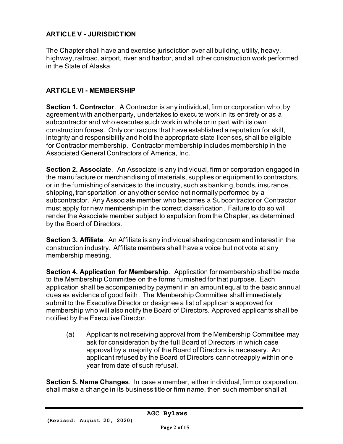#### **ARTICLE V - JURISDICTION**

The Chapter shall have and exercise jurisdiction over all building, utility, heavy, highway, railroad, airport, river and harbor, and all other construction work performed in the State of Alaska.

#### **ARTICLE VI - MEMBERSHIP**

**Section 1. Contractor**. A Contractor is any individual, firm or corporation who, by agreement with another party, undertakes to execute work in its entirety or as a subcontractor and who executes such work in whole or in part with its own construction forces. Only contractors that have established a reputation for skill, integrity and responsibility and hold the appropriate state licenses, shall be eligible for Contractor membership. Contractor membership includes membership in the Associated General Contractors of America, Inc.

**Section 2. Associate**. An Associate is any individual, firm or corporation engaged in the manufacture or merchandising of materials, supplies or equipment to contractors, or in the furnishing of services to the industry, such as banking, bonds, insurance, shipping, transportation, or any other service not normally performed by a subcontractor. Any Associate member who becomes a Subcontractor or Contractor must apply for new membership in the correct classification. Failure to do so will render the Associate member subject to expulsion from the Chapter, as determined by the Board of Directors.

**Section 3. Affiliate**. An Affiliate is any individual sharing concern and interest in the construction industry. Affiliate members shall have a voice but not vote at any membership meeting.

**Section 4. Application for Membership**. Application for membership shall be made to the Membership Committee on the forms furnished for that purpose. Each application shall be accompanied by payment in an amount equal to the basic annual dues as evidence of good faith. The Membership Committee shall immediately submit to the Executive Director or designee a list of applicants approved for membership who will also notify the Board of Directors. Approved applicants shall be notified by the Executive Director.

(a) Applicants not receiving approval from the Membership Committee may ask for consideration by the full Board of Directors in which case approval by a majority of the Board of Directors is necessary. An applicant refused by the Board of Directors cannot reapply within one year from date of such refusal.

**Section 5. Name Changes**. In case a member, either individual, firm or corporation, shall make a change in its business title or firm name, then such member shall at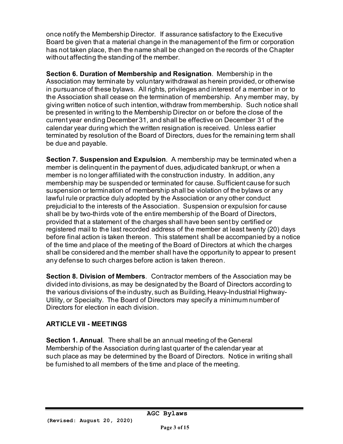once notify the Membership Director. If assurance satisfactory to the Executive Board be given that a material change in the management of the firm or corporation has not taken place, then the name shall be changed on the records of the Chapter without affecting the standing of the member.

**Section 6. Duration of Membership and Resignation**. Membership in the Association may terminate by voluntary withdrawal as herein provided, or otherwise in pursuance of these bylaws. All rights, privileges and interest of a member in or to the Association shall cease on the termination of membership. Any member may, by giving written notice of such intention, withdraw from membership. Such notice shall be presented in writing to the Membership Director on or before the close of the current year ending December 31, and shall be effective on December 31 of the calendar year during which the written resignation is received. Unless earlier terminated by resolution of the Board of Directors, dues for the remaining term shall be due and payable.

**Section 7. Suspension and Expulsion**. A membership may be terminated when a member is delinquent in the payment of dues, adjudicated bankrupt, or when a member is no longer affiliated with the construction industry. In addition, any membership may be suspended or terminated for cause. Sufficient cause for such suspension or termination of membership shall be violation of the bylaws or any lawful rule or practice duly adopted by the Association or any other conduct prejudicial to the interests of the Association. Suspension or expulsion for cause shall be by two-thirds vote of the entire membership of the Board of Directors, provided that a statement of the charges shall have been sent by certified or registered mail to the last recorded address of the member at least twenty (20) days before final action is taken thereon. This statement shall be accompanied by a notice of the time and place of the meeting of the Board of Directors at which the charges shall be considered and the member shall have the opportunity to appear to present any defense to such charges before action is taken thereon.

**Section 8. Division of Members**. Contractor members of the Association may be divided into divisions, as may be designated by the Board of Directors according to the various divisions of the industry, such as Building, Heavy-Industrial Highway-Utility, or Specialty. The Board of Directors may specify a minimum number of Directors for election in each division.

#### **ARTICLE VII - MEETINGS**

**Section 1. Annual**. There shall be an annual meeting of the General Membership of the Association during last quarter of the calendar year at such place as may be determined by the Board of Directors. Notice in writing shall be furnished to all members of the time and place of the meeting.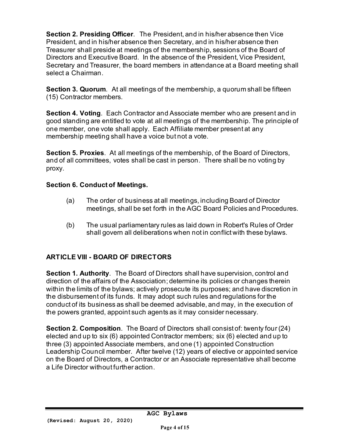**Section 2. Presiding Officer**. The President, and in his/her absence then Vice President, and in his/her absence then Secretary, and in his/her absence then Treasurer shall preside at meetings of the membership, sessions of the Board of Directors and Executive Board. In the absence of the President, Vice President, Secretary and Treasurer, the board members in attendance at a Board meeting shall select a Chairman.

**Section 3. Quorum**. At all meetings of the membership, a quorum shall be fifteen (15) Contractor members.

**Section 4. Voting**. Each Contractor and Associate member who are present and in good standing are entitled to vote at all meetings of the membership. The principle of one member, one vote shall apply. Each Affiliate member present at any membership meeting shall have a voice but not a vote.

**Section 5. Proxies**. At all meetings of the membership, of the Board of Directors, and of all committees, votes shall be cast in person. There shall be no voting by proxy.

#### **Section 6. Conduct of Meetings.**

- (a) The order of business at all meetings, including Board of Director meetings, shall be set forth in the AGC Board Policies and Procedures.
- (b) The usual parliamentary rules as laid down in Robert's Rules of Order shall govern all deliberations when not in conflict with these bylaws.

#### **ARTICLE VIII - BOARD OF DIRECTORS**

**Section 1. Authority**. The Board of Directors shall have supervision, control and direction of the affairs of the Association; determine its policies or changes therein within the limits of the bylaws; actively prosecute its purposes; and have discretion in the disbursement of its funds. It may adopt such rules and regulations for the conduct of its business as shall be deemed advisable, and may, in the execution of the powers granted, appoint such agents as it may consider necessary.

**Section 2. Composition**. The Board of Directors shall consist of: twenty four (24) elected and up to six (6) appointed Contractor members; six (6) elected and up to three (3) appointed Associate members, and one (1) appointed Construction Leadership Council member. After twelve (12) years of elective or appointed service on the Board of Directors, a Contractor or an Associate representative shall become a Life Director without further action.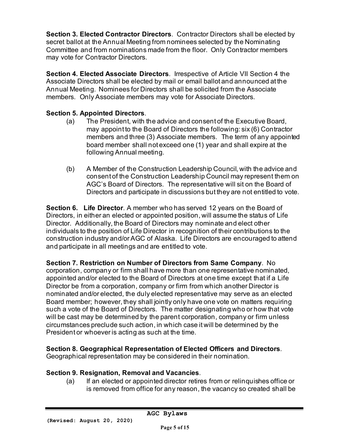**Section 3. Elected Contractor Directors**. Contractor Directors shall be elected by secret ballot at the Annual Meeting from nominees selected by the Nominating Committee and from nominations made from the floor. Only Contractor members may vote for Contractor Directors.

**Section 4. Elected Associate Directors**. Irrespective of Article VII Section 4 the Associate Directors shall be elected by mail or email ballot and announced at the Annual Meeting. Nominees for Directors shall be solicited from the Associate members. Only Associate members may vote for Associate Directors.

#### **Section 5. Appointed Directors**.

- (a) The President, with the advice and consent of the Executive Board, may appoint to the Board of Directors the following: six (6) Contractor members and three (3) Associate members. The term of any appointed board member shall not exceed one (1) year and shall expire at the following Annual meeting.
- (b) A Member of the Construction Leadership Council, with the advice and consent of the Construction Leadership Council may represent them on AGC's Board of Directors. The representative will sit on the Board of Directors and participate in discussions but they are not entitled to vote.

**Section 6. Life Director**. A member who has served 12 years on the Board of Directors, in either an elected or appointed position, will assume the status of Life Director. Additionally, the Board of Directors may nominate and elect other individuals to the position of Life Director in recognition of their contributions to the construction industry and/or AGC of Alaska. Life Directors are encouraged to attend and participate in all meetings and are entitled to vote.

**Section 7. Restriction on Number of Directors from Same Company**. No corporation, company or firm shall have more than one representative nominated, appointed and/or elected to the Board of Directors at one time except that if a Life Director be from a corporation, company or firm from which another Director is nominated and/or elected, the duly elected representative may serve as an elected Board member; however, they shall jointly only have one vote on matters requiring such a vote of the Board of Directors. The matter designating who or how that vote will be cast may be determined by the parent corporation, company or firm unless circumstances preclude such action, in which case it will be determined by the President or whoever is acting as such at the time.

#### **Section 8. Geographical Representation of Elected Officers and Directors**.

Geographical representation may be considered in their nomination.

#### **Section 9. Resignation, Removal and Vacancies**.

(a) If an elected or appointed director retires from or relinquishes office or is removed from office for any reason, the vacancy so created shall be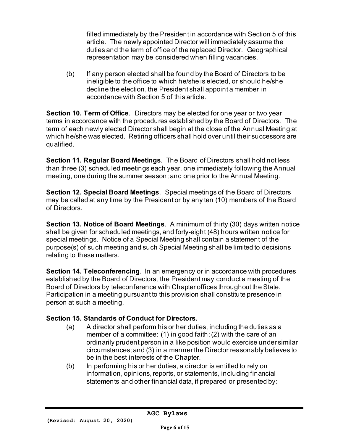filled immediately by the President in accordance with Section 5 of this article. The newly appointed Director will immediately assume the duties and the term of office of the replaced Director. Geographical representation may be considered when filling vacancies.

(b) If any person elected shall be found by the Board of Directors to be ineligible to the office to which he/she is elected, or should he/she decline the election, the President shall appoint a member in accordance with Section 5 of this article.

**Section 10. Term of Office**. Directors may be elected for one year or two year terms in accordance with the procedures established by the Board of Directors. The term of each newly elected Director shall begin at the close of the Annual Meeting at which he/she was elected. Retiring officers shall hold over until their successors are qualified.

**Section 11. Regular Board Meetings**. The Board of Directors shall hold not less than three (3) scheduled meetings each year, one immediately following the Annual meeting, one during the summer season; and one prior to the Annual Meeting.

**Section 12. Special Board Meetings**. Special meetings of the Board of Directors may be called at any time by the President or by any ten (10) members of the Board of Directors.

**Section 13. Notice of Board Meetings**. A minimum of thirty (30) days written notice shall be given for scheduled meetings, and forty-eight (48) hours written notice for special meetings. Notice of a Special Meeting shall contain a statement of the purpose(s) of such meeting and such Special Meeting shall be limited to decisions relating to these matters.

**Section 14. Teleconferencing**. In an emergency or in accordance with procedures established by the Board of Directors, the President may conduct a meeting of the Board of Directors by teleconference with Chapter offices throughout the State. Participation in a meeting pursuant to this provision shall constitute presence in person at such a meeting.

#### **Section 15. Standards of Conduct for Directors.**

- (a) A director shall perform his or her duties, including the duties as a member of a committee: (1) in good faith; (2) with the care of an ordinarily prudent person in a like position would exercise under similar circumstances; and (3) in a manner the Director reasonably believes to be in the best interests of the Chapter.
- (b) In performing his or her duties, a director is entitled to rely on information, opinions, reports, or statements, including financial statements and other financial data, if prepared or presented by: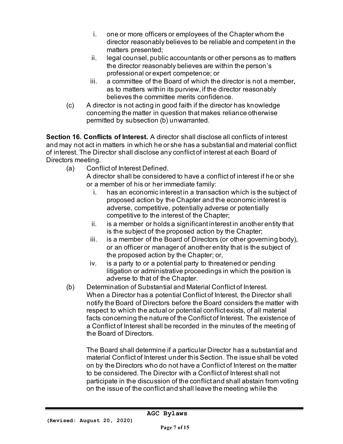- i. one or more officers or employees of the Chapter whom the director reasonably believes to be reliable and competent in the matters presented;
- ii. legal counsel, public accountants or other persons as to matters the director reasonably believes are within the person's professional or expert competence; or
- iii. a committee of the Board of which the director is not a member, as to matters within its purview, if the director reasonably believes the committee merits confidence.
- (c) A director is not acting in good faith if the director has knowledge concerning the matter in question that makes reliance otherwise permitted by subsection (b) unwarranted.

**Section 16. Conflicts of Interest.** A director shall disclose all conflicts of interest and may not act in matters in which he or she has a substantial and material conflict of interest. The Director shall disclose any conflict of interest at each Board of Directors meeting.

(a) Conflict of Interest Defined.

A director shall be considered to have a conflict of interest if he or she or a member of his or her immediate family:

- i. has an economic interest in a transaction which is the subject of proposed action by the Chapter and the economic interest is adverse, competitive, potentially adverse or potentially competitive to the interest of the Chapter;
- ii. is a member or holds a significant interest in another entity that is the subject of the proposed action by the Chapter;
- iii. is a member of the Board of Directors (or other governing body), or an officer or manager of another entity that is the subject of the proposed action by the Chapter; or,
- iv. is a party to or a potential party to threatened or pending litigation or administrative proceedings in which the position is adverse to that of the Chapter.
- (b) Determination of Substantial and Material Conflict of Interest. When a Director has a potential Conflict of Interest, the Director shall notify the Board of Directors before the Board considers the matter with respect to which the actual or potential conflict exists, of all material facts concerning the nature of the Conflict of Interest. The existence of a Conflict of Interest shall be recorded in the minutes of the meeting of the Board of Directors.

The Board shall determine if a particular Director has a substantial and material Conflict of Interest under this Section. The issue shall be voted on by the Directors who do not have a Conflict of Interest on the matter to be considered. The Director with a Conflict of Interest shall not participate in the discussion of the conflict and shall abstain from voting on the issue of the conflict and shall leave the meeting while the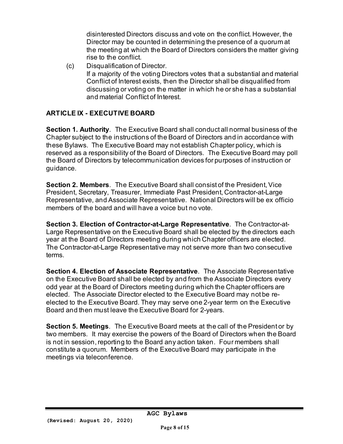disinterested Directors discuss and vote on the conflict. However, the Director may be counted in determining the presence of a quorum at the meeting at which the Board of Directors considers the matter giving rise to the conflict.

(c) Disqualification of Director. If a majority of the voting Directors votes that a substantial and material Conflict of Interest exists, then the Director shall be disqualified from discussing or voting on the matter in which he or she has a substantial and material Conflict of Interest.

#### **ARTICLE IX - EXECUTIVE BOARD**

**Section 1. Authority**. The Executive Board shall conduct all normal business of the Chapter subject to the instructions of the Board of Directors and in accordance with these Bylaws. The Executive Board may not establish Chapter policy, which is reserved as a responsibility of the Board of Directors. The Executive Board may poll the Board of Directors by telecommunication devices for purposes of instruction or guidance.

**Section 2. Members**. The Executive Board shall consist of the President, Vice President, Secretary, Treasurer, Immediate Past President, Contractor-at-Large Representative, and Associate Representative. National Directors will be ex officio members of the board and will have a voice but no vote.

**Section 3. Election of Contractor-at-Large Representative**. The Contractor-at-Large Representative on the Executive Board shall be elected by the directors each year at the Board of Directors meeting during which Chapter officers are elected. The Contractor-at-Large Representative may not serve more than two consecutive terms.

**Section 4. Election of Associate Representative**. The Associate Representative on the Executive Board shall be elected by and from the Associate Directors every odd year at the Board of Directors meeting during which the Chapter officers are elected. The Associate Director elected to the Executive Board may not be reelected to the Executive Board. They may serve one 2-year term on the Executive Board and then must leave the Executive Board for 2-years.

**Section 5. Meetings**. The Executive Board meets at the call of the President or by two members. It may exercise the powers of the Board of Directors when the Board is not in session, reporting to the Board any action taken. Four members shall constitute a quorum. Members of the Executive Board may participate in the meetings via teleconference.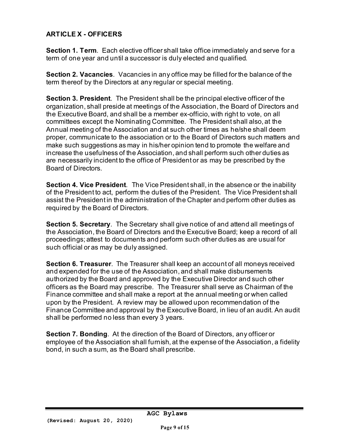#### **ARTICLE X - OFFICERS**

**Section 1. Term.** Each elective officer shall take office immediately and serve for a term of one year and until a successor is duly elected and qualified.

**Section 2. Vacancies**. Vacancies in any office may be filled for the balance of the term thereof by the Directors at any regular or special meeting.

**Section 3. President**. The President shall be the principal elective officer of the organization, shall preside at meetings of the Association, the Board of Directors and the Executive Board, and shall be a member ex-officio, with right to vote, on all committees except the Nominating Committee. The President shall also, at the Annual meeting of the Association and at such other times as he/she shall deem proper, communicate to the association or to the Board of Directors such matters and make such suggestions as may in his/her opinion tend to promote the welfare and increase the usefulness of the Association, and shall perform such other duties as are necessarily incident to the office of President or as may be prescribed by the Board of Directors.

**Section 4. Vice President**. The Vice President shall, in the absence or the inability of the President to act, perform the duties of the President. The Vice President shall assist the President in the administration of the Chapter and perform other duties as required by the Board of Directors.

**Section 5. Secretary**. The Secretary shall give notice of and attend all meetings of the Association, the Board of Directors and the Executive Board; keep a record of all proceedings; attest to documents and perform such other duties as are usual for such official or as may be duly assigned.

**Section 6. Treasurer**. The Treasurer shall keep an account of all moneys received and expended for the use of the Association, and shall make disbursements authorized by the Board and approved by the Executive Director and such other officers as the Board may prescribe. The Treasurer shall serve as Chairman of the Finance committee and shall make a report at the annual meeting or when called upon by the President. A review may be allowed upon recommendation of the Finance Committee and approval by the Executive Board, in lieu of an audit. An audit shall be performed no less than every 3 years.

**Section 7. Bonding**. At the direction of the Board of Directors, any officer or employee of the Association shall furnish, at the expense of the Association, a fidelity bond, in such a sum, as the Board shall prescribe.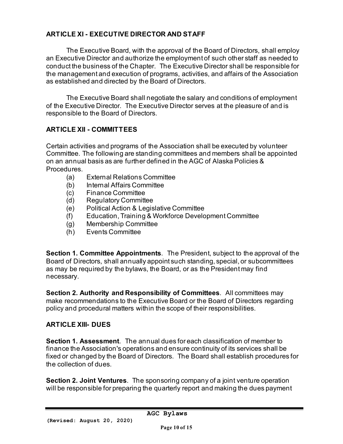#### **ARTICLE XI - EXECUTIVE DIRECTOR AND STAFF**

The Executive Board, with the approval of the Board of Directors, shall employ an Executive Director and authorize the employment of such other staff as needed to conduct the business of the Chapter. The Executive Director shall be responsible for the management and execution of programs, activities, and affairs of the Association as established and directed by the Board of Directors.

The Executive Board shall negotiate the salary and conditions of employment of the Executive Director. The Executive Director serves at the pleasure of and is responsible to the Board of Directors.

#### **ARTICLE XII - COMMITTEES**

Certain activities and programs of the Association shall be executed by volunteer Committee. The following are standing committees and members shall be appointed on an annual basis as are further defined in the AGC of Alaska Policies & Procedures.

- (a) External Relations Committee
- (b) Internal Affairs Committee
- (c) Finance Committee
- (d) Regulatory Committee
- (e) Political Action & Legislative Committee
- (f) Education, Training & Workforce Development Committee
- (g) Membership Committee
- (h) Events Committee

**Section 1. Committee Appointments**. The President, subject to the approval of the Board of Directors, shall annually appoint such standing, special, or subcommittees as may be required by the bylaws, the Board, or as the President may find necessary.

**Section 2. Authority and Responsibility of Committees**. All committees may make recommendations to the Executive Board or the Board of Directors regarding policy and procedural matters within the scope of their responsibilities.

#### **ARTICLE XIII- DUES**

**Section 1. Assessment**. The annual dues for each classification of member to finance the Association's operations and ensure continuity of its services shall be fixed or changed by the Board of Directors. The Board shall establish procedures for the collection of dues.

**Section 2. Joint Ventures**. The sponsoring company of a joint venture operation will be responsible for preparing the quarterly report and making the dues payment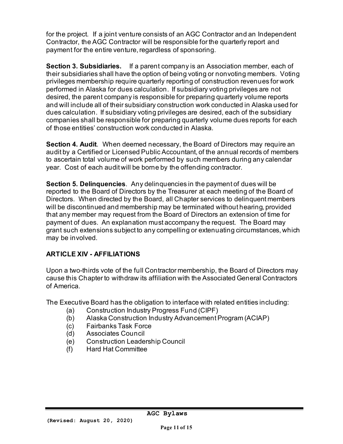for the project. If a joint venture consists of an AGC Contractor and an Independent Contractor, the AGC Contractor will be responsible for the quarterly report and payment for the entire venture, regardless of sponsoring.

**Section 3. Subsidiaries.** If a parent company is an Association member, each of their subsidiaries shall have the option of being voting or nonvoting members. Voting privileges membership require quarterly reporting of construction revenues for work performed in Alaska for dues calculation. If subsidiary voting privileges are not desired, the parent company is responsible for preparing quarterly volume reports and will include all of their subsidiary construction work conducted in Alaska used for dues calculation. If subsidiary voting privileges are desired, each of the subsidiary companies shall be responsible for preparing quarterly volume dues reports for each of those entities' construction work conducted in Alaska.

**Section 4. Audit**. When deemed necessary, the Board of Directors may require an audit by a Certified or Licensed Public Accountant, of the annual records of members to ascertain total volume of work performed by such members during any calendar year. Cost of each audit will be borne by the offending contractor.

**Section 5. Delinquencies**. Any delinquencies in the payment of dues will be reported to the Board of Directors by the Treasurer at each meeting of the Board of Directors. When directed by the Board, all Chapter services to delinquent members will be discontinued and membership may be terminated without hearing, provided that any member may request from the Board of Directors an extension of time for payment of dues. An explanation must accompany the request. The Board may grant such extensions subject to any compelling or extenuating circumstances, which may be involved.

#### **ARTICLE XIV - AFFILIATIONS**

Upon a two-thirds vote of the full Contractor membership, the Board of Directors may cause this Chapter to withdraw its affiliation with the Associated General Contractors of America.

The Executive Board has the obligation to interface with related entities including:

- (a) Construction Industry Progress Fund (CIPF)
- (b) Alaska Construction Industry Advancement Program (ACIAP)
- (c) Fairbanks Task Force
- (d) Associates Council
- (e) Construction Leadership Council
- (f) Hard Hat Committee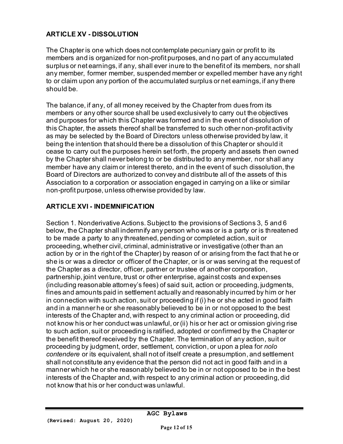#### **ARTICLE XV - DISSOLUTION**

The Chapter is one which does not contemplate pecuniary gain or profit to its members and is organized for non-profit purposes, and no part of any accumulated surplus or net earnings, if any, shall ever inure to the benefit of its members, nor shall any member, former member, suspended member or expelled member have any right to or claim upon any portion of the accumulated surplus or net earnings, if any there should be.

The balance, if any, of all money received by the Chapter from dues from its members or any other source shall be used exclusively to carry out the objectives and purposes for which this Chapter was formed and in the event of dissolution of this Chapter, the assets thereof shall be transferred to such other non-profit activity as may be selected by the Board of Directors unless otherwise provided by law, it being the intention that should there be a dissolution of this Chapter or should it cease to carry out the purposes herein set forth, the property and assets then owned by the Chapter shall never belong to or be distributed to any member, nor shall any member have any claim or interest thereto, and in the event of such dissolution, the Board of Directors are authorized to convey and distribute all of the assets of this Association to a corporation or association engaged in carrying on a like or similar non-profit purpose, unless otherwise provided by law.

#### **ARTICLE XVI - INDEMNIFICATION**

Section 1. Nonderivative Actions. Subject to the provisions of Sections 3, 5 and 6 below, the Chapter shall indemnify any person who was or is a party or is threatened to be made a party to any threatened, pending or completed action, suit or proceeding, whether civil, criminal, administrative or investigative (other than an action by or in the right of the Chapter) by reason of or arising from the fact that he or she is or was a director or officer of the Chapter, or is or was serving at the request of the Chapter as a director, officer, partner or trustee of another corporation, partnership, joint venture, trust or other enterprise, against costs and expenses (including reasonable attorney's fees) of said suit, action or proceeding, judgments, fines and amounts paid in settlement actually and reasonably incurred by him or her in connection with such action, suit or proceeding if (i) he or she acted in good faith and in a manner he or she reasonably believed to be in or not opposed to the best interests of the Chapter and, with respect to any criminal action or proceeding, did not know his or her conduct was unlawful, or (ii) his or her act or omission giving rise to such action, suit or proceeding is ratified, adopted or confirmed by the Chapter or the benefit thereof received by the Chapter. The termination of any action, suit or proceeding by judgment, order, settlement, conviction, or upon a plea for *nolo contendere* or its equivalent, shall not of itself create a presumption, and settlement shall not constitute any evidence that the person did not act in good faith and in a manner which he or she reasonably believed to be in or not opposed to be in the best interests of the Chapter and, with respect to any criminal action or proceeding, did not know that his or her conduct was unlawful.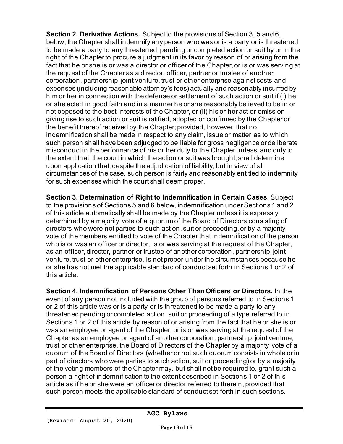**Section 2. Derivative Actions.** Subject to the provisions of Section 3, 5 and 6, below, the Chapter shall indemnify any person who was or is a party or is threatened to be made a party to any threatened, pending or completed action or suit by or in the right of the Chapter to procure a judgment in its favor by reason of or arising from the fact that he or she is or was a director or officer of the Chapter, or is or was serving at the request of the Chapter as a director, officer, partner or trustee of another corporation, partnership, joint venture, trust or other enterprise against costs and expenses (including reasonable attorney's fees) actually and reasonably incurred by him or her in connection with the defense or settlement of such action or suit if (i) he or she acted in good faith and in a manner he or she reasonably believed to be in or not opposed to the best interests of the Chapter, or (ii) his or her act or omission giving rise to such action or suit is ratified, adopted or confirmed by the Chapter or the benefit thereof received by the Chapter; provided, however, that no indemnification shall be made in respect to any claim, issue or matter as to which such person shall have been adjudged to be liable for gross negligence or deliberate misconduct in the performance of his or her duty to the Chapter unless, and only to the extent that, the court in which the action or suit was brought, shall determine upon application that, despite the adjudication of liability, but in view of all circumstances of the case, such person is fairly and reasonably entitled to indemnity for such expenses which the court shall deem proper.

**Section 3. Determination of Right to Indemnification in Certain Cases.** Subject to the provisions of Sections 5 and 6 below, indemnification under Sections 1 and 2 of this article automatically shall be made by the Chapter unless it is expressly determined by a majority vote of a quorum of the Board of Directors consisting of directors who were not parties to such action, suit or proceeding, or by a majority vote of the members entitled to vote of the Chapter that indemnification of the person who is or was an officer or director, is or was serving at the request of the Chapter, as an officer, director, partner or trustee of another corporation, partnership, joint venture, trust or other enterprise, is not proper under the circumstances because he or she has not met the applicable standard of conduct set forth in Sections 1 or 2 of this article.

**Section 4. Indemnification of Persons Other Than Officers or Directors.** In the event of any person not included with the group of persons referred to in Sections 1 or 2 of this article was or is a party or is threatened to be made a party to any threatened pending or completed action, suit or proceeding of a type referred to in Sections 1 or 2 of this article by reason of or arising from the fact that he or she is or was an employee or agent of the Chapter, or is or was serving at the request of the Chapter as an employee or agent of another corporation, partnership, joint venture, trust or other enterprise, the Board of Directors of the Chapter by a majority vote of a quorum of the Board of Directors (whether or not such quorum consists in whole or in part of directors who were parties to such action, suit or proceeding) or by a majority of the voting members of the Chapter may, but shall not be required to, grant such a person a right of indemnification to the extent described in Sections 1 or 2 of this article as if he or she were an officer or director referred to therein, provided that such person meets the applicable standard of conduct set forth in such sections.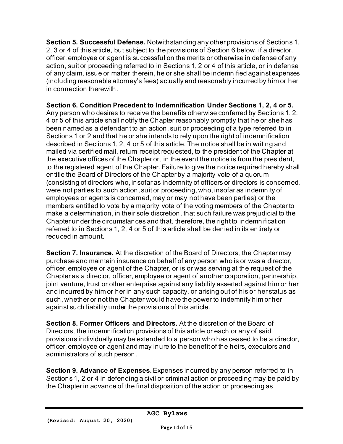**Section 5. Successful Defense.** Notwithstanding any other provisions of Sections 1, 2, 3 or 4 of this article, but subject to the provisions of Section 6 below, if a director, officer, employee or agent is successful on the merits or otherwise in defense of any action, suit or proceeding referred to in Sections 1, 2 or 4 of this article, or in defense of any claim, issue or matter therein, he or she shall be indemnified against expenses (including reasonable attorney's fees) actually and reasonably incurred by him or her in connection therewith.

**Section 6. Condition Precedent to Indemnification Under Sections 1, 2, 4 or 5.** Any person who desires to receive the benefits otherwise conferred by Sections 1, 2, 4 or 5 of this article shall notify the Chapter reasonably promptly that he or she has been named as a defendant to an action, suit or proceeding of a type referred to in Sections 1 or 2 and that he or she intends to rely upon the right of indemnification described in Sections 1, 2, 4 or 5 of this article. The notice shall be in writing and mailed via certified mail, return receipt requested, to the president of the Chapter at the executive offices of the Chapter or, in the event the notice is from the president, to the registered agent of the Chapter. Failure to give the notice required hereby shall entitle the Board of Directors of the Chapter by a majority vote of a quorum (consisting of directors who, insofar as indemnity of officers or directors is concerned, were not parties to such action, suit or proceeding, who, insofar as indemnity of employees or agents is concerned, may or may not have been parties) or the members entitled to vote by a majority vote of the voting members of the Chapter to make a determination, in their sole discretion, that such failure was prejudicial to the Chapter under the circumstances and that, therefore, the right to indemnification referred to in Sections 1, 2, 4 or 5 of this article shall be denied in its entirety or reduced in amount.

**Section 7. Insurance.** At the discretion of the Board of Directors, the Chapter may purchase and maintain insurance on behalf of any person who is or was a director, officer, employee or agent of the Chapter, or is or was serving at the request of the Chapter as a director, officer, employee or agent of another corporation, partnership, joint venture, trust or other enterprise against any liability asserted against him or her and incurred by him or her in any such capacity, or arising out of his or her status as such, whether or not the Chapter would have the power to indemnify him or her against such liability under the provisions of this article.

**Section 8. Former Officers and Directors.** At the discretion of the Board of Directors, the indemnification provisions of this article or each or any of said provisions individually may be extended to a person who has ceased to be a director, officer, employee or agent and may inure to the benefit of the heirs, executors and administrators of such person.

**Section 9. Advance of Expenses.**Expenses incurred by any person referred to in Sections 1, 2 or 4 in defending a civil or criminal action or proceeding may be paid by the Chapter in advance of the final disposition of the action or proceeding as